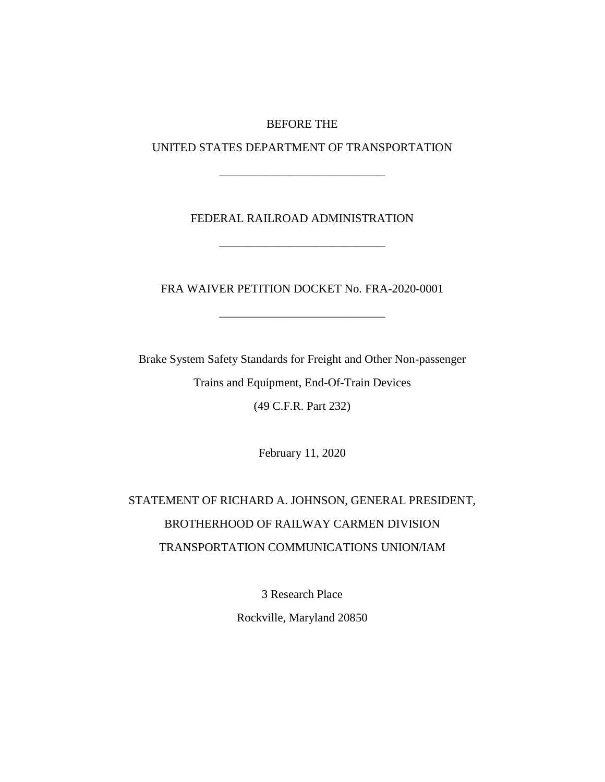#### BEFORE THE

UNITED STATES DEPARTMENT OF TRANSPORTATION

\_\_\_\_\_\_\_\_\_\_\_\_\_\_\_\_\_\_\_\_\_\_\_\_\_\_\_\_

## FEDERAL RAILROAD ADMINISTRATION

\_\_\_\_\_\_\_\_\_\_\_\_\_\_\_\_\_\_\_\_\_\_\_\_\_\_\_\_

FRA WAIVER PETITION DOCKET No. FRA-2020-0001

\_\_\_\_\_\_\_\_\_\_\_\_\_\_\_\_\_\_\_\_\_\_\_\_\_\_\_\_

Brake System Safety Standards for Freight and Other Non-passenger Trains and Equipment, End-Of-Train Devices (49 C.F.R. Part 232)

February 11, 2020

# STATEMENT OF RICHARD A. JOHNSON, GENERAL PRESIDENT, BROTHERHOOD OF RAILWAY CARMEN DIVISION TRANSPORTATION COMMUNICATIONS UNION/IAM

3 Research Place

Rockville, Maryland 20850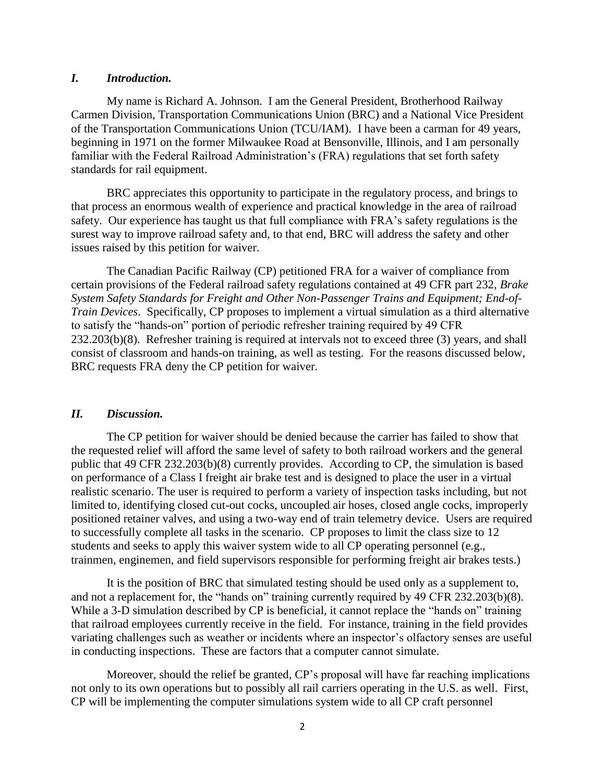#### *I. Introduction.*

My name is Richard A. Johnson. I am the General President, Brotherhood Railway Carmen Division, Transportation Communications Union (BRC) and a National Vice President of the Transportation Communications Union (TCU/IAM). I have been a carman for 49 years, beginning in 1971 on the former Milwaukee Road at Bensonville, Illinois, and I am personally familiar with the Federal Railroad Administration's (FRA) regulations that set forth safety standards for rail equipment.

BRC appreciates this opportunity to participate in the regulatory process, and brings to that process an enormous wealth of experience and practical knowledge in the area of railroad safety. Our experience has taught us that full compliance with FRA's safety regulations is the surest way to improve railroad safety and, to that end, BRC will address the safety and other issues raised by this petition for waiver.

The Canadian Pacific Railway (CP) petitioned FRA for a waiver of compliance from certain provisions of the Federal railroad safety regulations contained at 49 CFR part 232, *Brake System Safety Standards for Freight and Other Non-Passenger Trains and Equipment; End-of-Train Devices*. Specifically, CP proposes to implement a virtual simulation as a third alternative to satisfy the "hands-on" portion of periodic refresher training required by 49 CFR 232.203(b)(8). Refresher training is required at intervals not to exceed three (3) years, and shall consist of classroom and hands-on training, as well as testing. For the reasons discussed below, BRC requests FRA deny the CP petition for waiver.

#### *II. Discussion.*

The CP petition for waiver should be denied because the carrier has failed to show that the requested relief will afford the same level of safety to both railroad workers and the general public that 49 CFR 232.203(b)(8) currently provides. According to CP, the simulation is based on performance of a Class I freight air brake test and is designed to place the user in a virtual realistic scenario. The user is required to perform a variety of inspection tasks including, but not limited to, identifying closed cut-out cocks, uncoupled air hoses, closed angle cocks, improperly positioned retainer valves, and using a two-way end of train telemetry device. Users are required to successfully complete all tasks in the scenario. CP proposes to limit the class size to 12 students and seeks to apply this waiver system wide to all CP operating personnel (e.g., trainmen, enginemen, and field supervisors responsible for performing freight air brakes tests.)

It is the position of BRC that simulated testing should be used only as a supplement to, and not a replacement for, the "hands on" training currently required by 49 CFR 232.203(b)(8). While a 3-D simulation described by CP is beneficial, it cannot replace the "hands on" training that railroad employees currently receive in the field. For instance, training in the field provides variating challenges such as weather or incidents where an inspector's olfactory senses are useful in conducting inspections. These are factors that a computer cannot simulate.

Moreover, should the relief be granted, CP's proposal will have far reaching implications not only to its own operations but to possibly all rail carriers operating in the U.S. as well. First, CP will be implementing the computer simulations system wide to all CP craft personnel